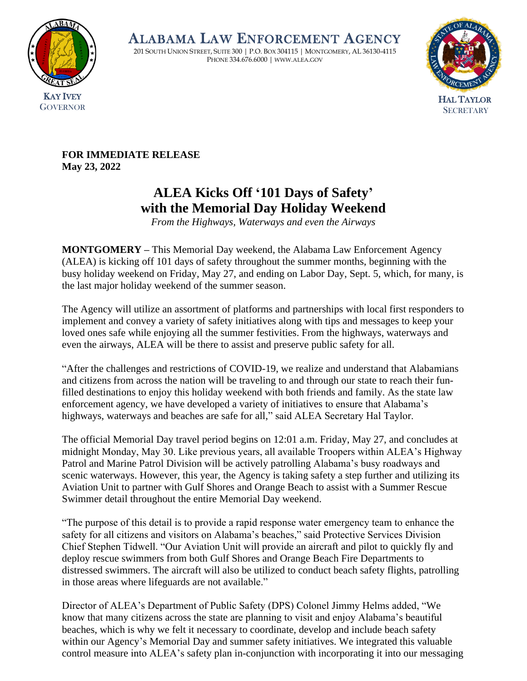

ALABAMA LAW ENFORCEMENT AGENCY

201 SOUTH UNION STREET, SUITE 300 | P.O. BOX 304115 | MONTGOMERY, AL 36130-4115 PHONE 334.676.6000 | WWW.ALEA.GOV



**FOR IMMEDIATE RELEASE May 23, 2022**

## **ALEA Kicks Off '101 Days of Safety' with the Memorial Day Holiday Weekend**

*From the Highways, Waterways and even the Airways*

**MONTGOMERY –** This Memorial Day weekend, the Alabama Law Enforcement Agency (ALEA) is kicking off 101 days of safety throughout the summer months, beginning with the busy holiday weekend on Friday, May 27, and ending on Labor Day, Sept. 5, which, for many, is the last major holiday weekend of the summer season.

The Agency will utilize an assortment of platforms and partnerships with local first responders to implement and convey a variety of safety initiatives along with tips and messages to keep your loved ones safe while enjoying all the summer festivities. From the highways, waterways and even the airways, ALEA will be there to assist and preserve public safety for all.

"After the challenges and restrictions of COVID-19, we realize and understand that Alabamians and citizens from across the nation will be traveling to and through our state to reach their funfilled destinations to enjoy this holiday weekend with both friends and family. As the state law enforcement agency, we have developed a variety of initiatives to ensure that Alabama's highways, waterways and beaches are safe for all," said ALEA Secretary Hal Taylor.

The official Memorial Day travel period begins on 12:01 a.m. Friday, May 27, and concludes at midnight Monday, May 30. Like previous years, all available Troopers within ALEA's Highway Patrol and Marine Patrol Division will be actively patrolling Alabama's busy roadways and scenic waterways. However, this year, the Agency is taking safety a step further and utilizing its Aviation Unit to partner with Gulf Shores and Orange Beach to assist with a Summer Rescue Swimmer detail throughout the entire Memorial Day weekend.

"The purpose of this detail is to provide a rapid response water emergency team to enhance the safety for all citizens and visitors on Alabama's beaches," said Protective Services Division Chief Stephen Tidwell. "Our Aviation Unit will provide an aircraft and pilot to quickly fly and deploy rescue swimmers from both Gulf Shores and Orange Beach Fire Departments to distressed swimmers. The aircraft will also be utilized to conduct beach safety flights, patrolling in those areas where lifeguards are not available."

Director of ALEA's Department of Public Safety (DPS) Colonel Jimmy Helms added, "We know that many citizens across the state are planning to visit and enjoy Alabama's beautiful beaches, which is why we felt it necessary to coordinate, develop and include beach safety within our Agency's Memorial Day and summer safety initiatives. We integrated this valuable control measure into ALEA's safety plan in-conjunction with incorporating it into our messaging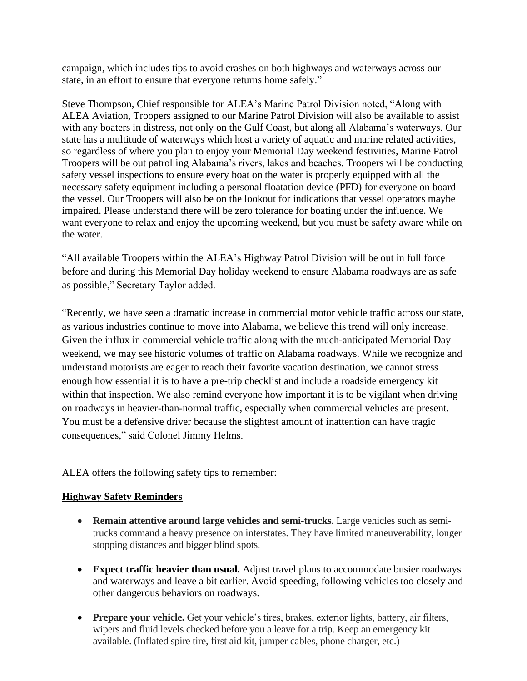campaign, which includes tips to avoid crashes on both highways and waterways across our state, in an effort to ensure that everyone returns home safely."

Steve Thompson, Chief responsible for ALEA's Marine Patrol Division noted, "Along with ALEA Aviation, Troopers assigned to our Marine Patrol Division will also be available to assist with any boaters in distress, not only on the Gulf Coast, but along all Alabama's waterways. Our state has a multitude of waterways which host a variety of aquatic and marine related activities, so regardless of where you plan to enjoy your Memorial Day weekend festivities, Marine Patrol Troopers will be out patrolling Alabama's rivers, lakes and beaches. Troopers will be conducting safety vessel inspections to ensure every boat on the water is properly equipped with all the necessary safety equipment including a personal floatation device (PFD) for everyone on board the vessel. Our Troopers will also be on the lookout for indications that vessel operators maybe impaired. Please understand there will be zero tolerance for boating under the influence. We want everyone to relax and enjoy the upcoming weekend, but you must be safety aware while on the water.

"All available Troopers within the ALEA's Highway Patrol Division will be out in full force before and during this Memorial Day holiday weekend to ensure Alabama roadways are as safe as possible," Secretary Taylor added.

"Recently, we have seen a dramatic increase in commercial motor vehicle traffic across our state, as various industries continue to move into Alabama, we believe this trend will only increase. Given the influx in commercial vehicle traffic along with the much-anticipated Memorial Day weekend, we may see historic volumes of traffic on Alabama roadways. While we recognize and understand motorists are eager to reach their favorite vacation destination, we cannot stress enough how essential it is to have a pre-trip checklist and include a roadside emergency kit within that inspection. We also remind everyone how important it is to be vigilant when driving on roadways in heavier-than-normal traffic, especially when commercial vehicles are present. You must be a defensive driver because the slightest amount of inattention can have tragic consequences," said Colonel Jimmy Helms.

ALEA offers the following safety tips to remember:

## **Highway Safety Reminders**

- **Remain attentive around large vehicles and semi-trucks.** Large vehicles such as semitrucks command a heavy presence on interstates. They have limited maneuverability, longer stopping distances and bigger blind spots.
- **Expect traffic heavier than usual.** Adjust travel plans to accommodate busier roadways and waterways and leave a bit earlier. Avoid speeding, following vehicles too closely and other dangerous behaviors on roadways.
- **Prepare your vehicle.** Get your vehicle's tires, brakes, exterior lights, battery, air filters, wipers and fluid levels checked before you a leave for a trip. Keep an emergency kit available. (Inflated spire tire, first aid kit, jumper cables, phone charger, etc.)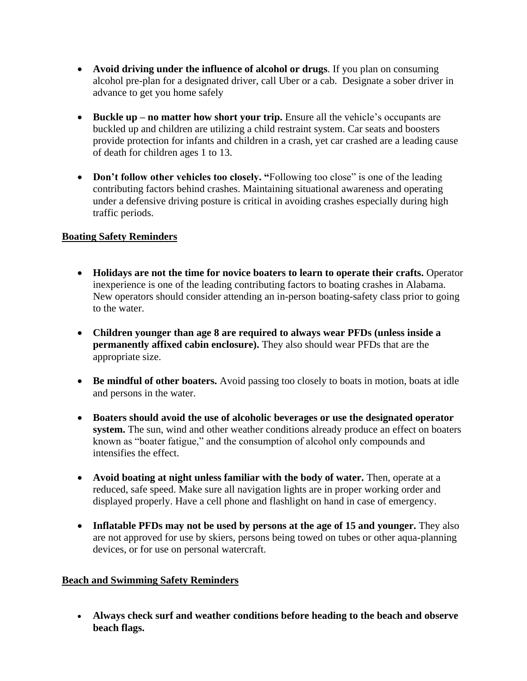- **Avoid driving under the influence of alcohol or drugs**. If you plan on consuming alcohol pre-plan for a designated driver, call Uber or a cab. Designate a sober driver in advance to get you home safely
- **Buckle up no matter how short your trip.** Ensure all the vehicle's occupants are buckled up and children are utilizing a child restraint system. Car seats and boosters provide protection for infants and children in a crash, yet car crashed are a leading cause of death for children ages 1 to 13.
- **Don't follow other vehicles too closely.** "Following too close" is one of the leading contributing factors behind crashes. Maintaining situational awareness and operating under a defensive driving posture is critical in avoiding crashes especially during high traffic periods.

## **Boating Safety Reminders**

- **Holidays are not the time for novice boaters to learn to operate their crafts.** Operator inexperience is one of the leading contributing factors to boating crashes in Alabama. New operators should consider attending an in-person boating-safety class prior to going to the water.
- **Children younger than age 8 are required to always wear PFDs (unless inside a permanently affixed cabin enclosure).** They also should wear PFDs that are the appropriate size.
- **Be mindful of other boaters.** Avoid passing too closely to boats in motion, boats at idle and persons in the water.
- **Boaters should avoid the use of alcoholic beverages or use the designated operator system.** The sun, wind and other weather conditions already produce an effect on boaters known as "boater fatigue," and the consumption of alcohol only compounds and intensifies the effect.
- **Avoid boating at night unless familiar with the body of water.** Then, operate at a reduced, safe speed. Make sure all navigation lights are in proper working order and displayed properly. Have a cell phone and flashlight on hand in case of emergency.
- Inflatable PFDs may not be used by persons at the age of 15 and younger. They also are not approved for use by skiers, persons being towed on tubes or other aqua-planning devices, or for use on personal watercraft.

## **Beach and Swimming Safety Reminders**

• **Always check surf and weather conditions before heading to the beach and observe beach flags.**